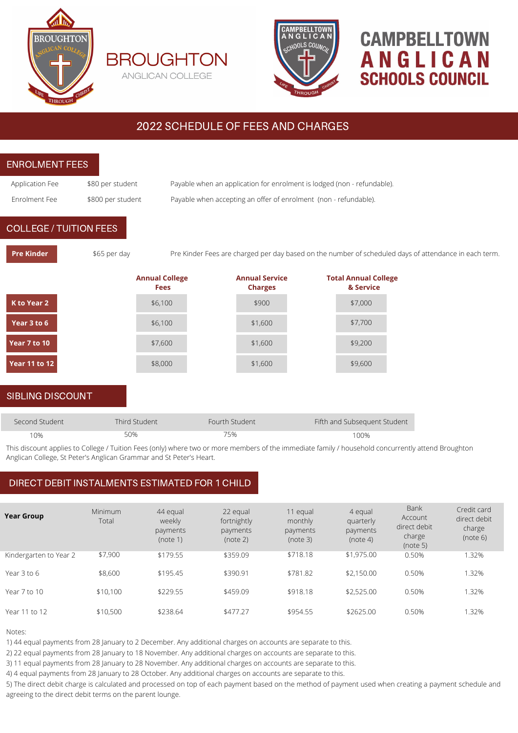





# **CAMPBELLTOWN** ANGLICAN **SCHOOLS COUNCIL**

## 2022 SCHEDULE OF FEES AND CHARGES

| <b>ENROLMENT FEES</b>         |                                                                     |                                      |                                                                         |                                                                                                                                                    |  |  |  |
|-------------------------------|---------------------------------------------------------------------|--------------------------------------|-------------------------------------------------------------------------|----------------------------------------------------------------------------------------------------------------------------------------------------|--|--|--|
| Application Fee               | \$80 per student                                                    |                                      | Payable when an application for enrolment is lodged (non - refundable). |                                                                                                                                                    |  |  |  |
| Enrolment Fee                 | \$800 per student                                                   |                                      | Payable when accepting an offer of enrolment (non - refundable).        |                                                                                                                                                    |  |  |  |
| <b>COLLEGE / TUITION FEES</b> |                                                                     |                                      |                                                                         |                                                                                                                                                    |  |  |  |
| <b>Pre Kinder</b>             | \$65 per day                                                        |                                      |                                                                         | Pre Kinder Fees are charged per day based on the number of scheduled days of attendance in each term.                                              |  |  |  |
|                               |                                                                     | <b>Annual College</b><br><b>Fees</b> | <b>Annual Service</b><br><b>Charges</b>                                 | <b>Total Annual College</b><br>& Service                                                                                                           |  |  |  |
| K to Year 2                   |                                                                     | \$6,100                              | \$900                                                                   | \$7,000                                                                                                                                            |  |  |  |
| Year 3 to 6                   |                                                                     | \$6,100                              | \$1,600                                                                 | \$7,700                                                                                                                                            |  |  |  |
| Year 7 to 10                  |                                                                     | \$7,600                              | \$1,600                                                                 | \$9,200                                                                                                                                            |  |  |  |
| <b>Year 11 to 12</b>          |                                                                     | \$8,000                              | \$1,600                                                                 | \$9,600                                                                                                                                            |  |  |  |
| <b>SIBLING DISCOUNT</b>       |                                                                     |                                      |                                                                         |                                                                                                                                                    |  |  |  |
| Second Student                | <b>Third Student</b>                                                |                                      | Fourth Student                                                          | Fifth and Subsequent Student                                                                                                                       |  |  |  |
| 10%                           | 50%                                                                 |                                      | 75%                                                                     | 100%                                                                                                                                               |  |  |  |
|                               | Anglican College, St Peter's Anglican Grammar and St Peter's Heart. |                                      |                                                                         | This discount applies to College / Tuition Fees (only) where two or more members of the immediate family / household concurrently attend Broughton |  |  |  |

## DIRECT DEBIT INSTALMENTS ESTIMATED FOR 1 CHILD

| <b>Year Group</b>      | <b>Minimum</b><br>Total | 44 equal<br>weekly<br>payments<br>(note 1) | 22 equal<br>fortnightly<br>payments<br>(note 2) | 11 equal<br>monthly<br>payments<br>(note 3) | 4 equal<br>quarterly<br>payments<br>(note 4) | <b>Bank</b><br>Account<br>direct debit<br>charge<br>(note 5) | Credit card<br>direct debit<br>charge<br>(note 6) |
|------------------------|-------------------------|--------------------------------------------|-------------------------------------------------|---------------------------------------------|----------------------------------------------|--------------------------------------------------------------|---------------------------------------------------|
| Kindergarten to Year 2 | \$7,900                 | \$179.55                                   | \$359.09                                        | \$718.18                                    | \$1,975.00                                   | 0.50%                                                        | 1.32%                                             |
| Year 3 to 6            | \$8,600                 | \$195.45                                   | \$390.91                                        | \$781.82                                    | \$2,150.00                                   | 0.50%                                                        | 1.32%                                             |
| Year 7 to 10           | \$10,100                | \$229.55                                   | \$459.09                                        | \$918.18                                    | \$2,525.00                                   | 0.50%                                                        | 1.32%                                             |
|                        |                         |                                            |                                                 |                                             |                                              |                                                              |                                                   |
| Year 11 to 12          | \$10,500                | \$238.64                                   | \$477.27                                        | \$954.55                                    | \$2625.00                                    | 0.50%                                                        | 1.32%                                             |

Notes:

1) 44 equal payments from 28 January to 2 December. Any additional charges on accounts are separate to this.

2) 22 equal payments from 28 January to 18 November. Any additional charges on accounts are separate to this.

3) 11 equal payments from 28 January to 28 November. Any additional charges on accounts are separate to this.

4) 4 equal payments from 28 January to 28 October. Any additional charges on accounts are separate to this.

5) The direct debit charge is calculated and processed on top of each payment based on the method of payment used when creating a payment schedule and agreeing to the direct debit terms on the parent lounge.